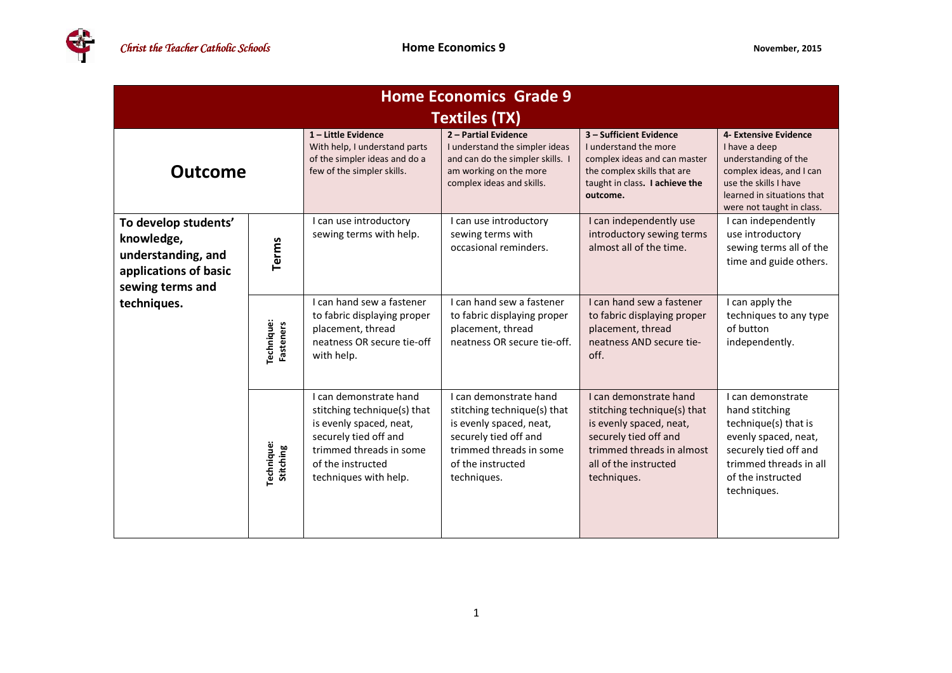| <b>Home Economics Grade 9</b>                                                                         |                                |                                                                                                                                                                                    |                                                                                                                                                                          |                                                                                                                                                                                |                                                                                                                                                                                |  |  |  |  |
|-------------------------------------------------------------------------------------------------------|--------------------------------|------------------------------------------------------------------------------------------------------------------------------------------------------------------------------------|--------------------------------------------------------------------------------------------------------------------------------------------------------------------------|--------------------------------------------------------------------------------------------------------------------------------------------------------------------------------|--------------------------------------------------------------------------------------------------------------------------------------------------------------------------------|--|--|--|--|
| <b>Textiles (TX)</b>                                                                                  |                                |                                                                                                                                                                                    |                                                                                                                                                                          |                                                                                                                                                                                |                                                                                                                                                                                |  |  |  |  |
| <b>Outcome</b>                                                                                        |                                | 1-Little Evidence<br>With help, I understand parts<br>of the simpler ideas and do a<br>few of the simpler skills.                                                                  | 2 - Partial Evidence<br>I understand the simpler ideas<br>and can do the simpler skills.<br>am working on the more<br>complex ideas and skills.                          | 3 - Sufficient Evidence<br>I understand the more<br>complex ideas and can master<br>the complex skills that are<br>taught in class. I achieve the<br>outcome.                  | 4- Extensive Evidence<br>I have a deep<br>understanding of the<br>complex ideas, and I can<br>use the skills I have<br>learned in situations that<br>were not taught in class. |  |  |  |  |
| To develop students'<br>knowledge,<br>understanding, and<br>applications of basic<br>sewing terms and | <b>Terms</b>                   | I can use introductory<br>sewing terms with help.                                                                                                                                  | I can use introductory<br>sewing terms with<br>occasional reminders.                                                                                                     | I can independently use<br>introductory sewing terms<br>almost all of the time.                                                                                                | I can independently<br>use introductory<br>sewing terms all of the<br>time and guide others.                                                                                   |  |  |  |  |
| techniques.                                                                                           | Technique:<br><b>Fasteners</b> | I can hand sew a fastener<br>to fabric displaying proper<br>placement, thread<br>neatness OR secure tie-off<br>with help.                                                          | I can hand sew a fastener<br>to fabric displaying proper<br>placement, thread<br>neatness OR secure tie-off.                                                             | I can hand sew a fastener<br>to fabric displaying proper<br>placement, thread<br>neatness AND secure tie-<br>off.                                                              | I can apply the<br>techniques to any type<br>of button<br>independently.                                                                                                       |  |  |  |  |
|                                                                                                       | Technique:<br>Stitching        | I can demonstrate hand<br>stitching technique(s) that<br>is evenly spaced, neat,<br>securely tied off and<br>trimmed threads in some<br>of the instructed<br>techniques with help. | I can demonstrate hand<br>stitching technique(s) that<br>is evenly spaced, neat,<br>securely tied off and<br>trimmed threads in some<br>of the instructed<br>techniques. | I can demonstrate hand<br>stitching technique(s) that<br>is evenly spaced, neat,<br>securely tied off and<br>trimmed threads in almost<br>all of the instructed<br>techniques. | I can demonstrate<br>hand stitching<br>technique(s) that is<br>evenly spaced, neat,<br>securely tied off and<br>trimmed threads in all<br>of the instructed<br>techniques.     |  |  |  |  |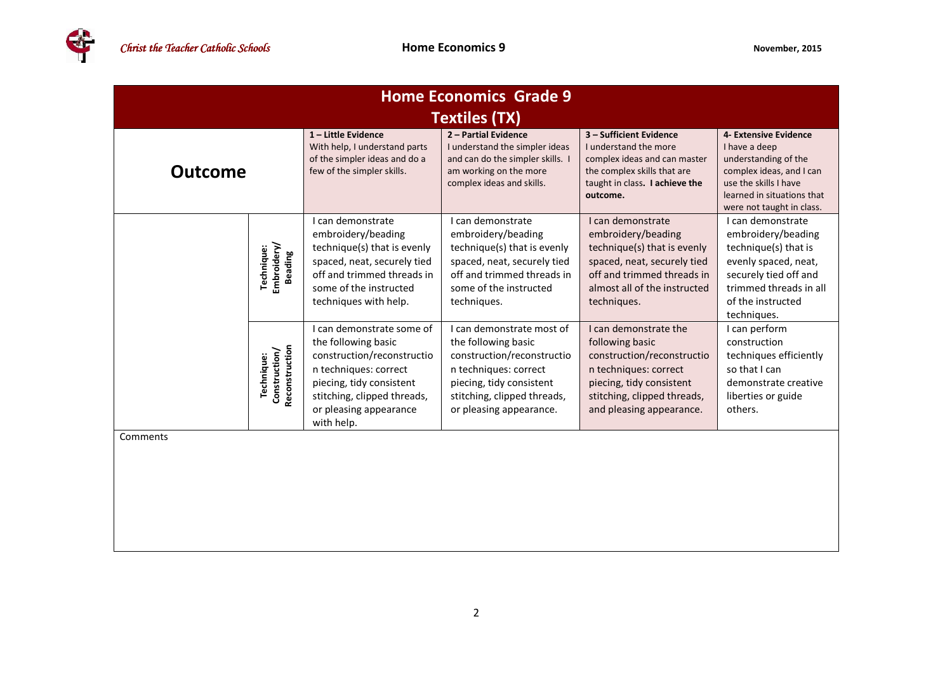

| <b>Home Economics Grade 9</b> |                                               |                                                                                                                                                                                                            |                                                                                                                                                                                               |                                                                                                                                                                                        |                                                                                                                                                                                |  |  |  |
|-------------------------------|-----------------------------------------------|------------------------------------------------------------------------------------------------------------------------------------------------------------------------------------------------------------|-----------------------------------------------------------------------------------------------------------------------------------------------------------------------------------------------|----------------------------------------------------------------------------------------------------------------------------------------------------------------------------------------|--------------------------------------------------------------------------------------------------------------------------------------------------------------------------------|--|--|--|
| <b>Textiles (TX)</b>          |                                               |                                                                                                                                                                                                            |                                                                                                                                                                                               |                                                                                                                                                                                        |                                                                                                                                                                                |  |  |  |
| <b>Outcome</b>                |                                               | 1-Little Evidence<br>With help, I understand parts<br>of the simpler ideas and do a<br>few of the simpler skills.                                                                                          | 2 - Partial Evidence<br>I understand the simpler ideas<br>and can do the simpler skills. I<br>am working on the more<br>complex ideas and skills.                                             | 3 - Sufficient Evidence<br>I understand the more<br>complex ideas and can master<br>the complex skills that are<br>taught in class. I achieve the<br>outcome.                          | 4- Extensive Evidence<br>I have a deep<br>understanding of the<br>complex ideas, and I can<br>use the skills I have<br>learned in situations that<br>were not taught in class. |  |  |  |
|                               | Technique:<br>Embroidery/<br>Beading          | I can demonstrate<br>embroidery/beading<br>technique(s) that is evenly<br>spaced, neat, securely tied<br>off and trimmed threads in<br>some of the instructed<br>techniques with help.                     | I can demonstrate<br>embroidery/beading<br>technique(s) that is evenly<br>spaced, neat, securely tied<br>off and trimmed threads in<br>some of the instructed<br>techniques.                  | I can demonstrate<br>embroidery/beading<br>technique(s) that is evenly<br>spaced, neat, securely tied<br>off and trimmed threads in<br>almost all of the instructed<br>techniques.     | I can demonstrate<br>embroidery/beading<br>technique(s) that is<br>evenly spaced, neat,<br>securely tied off and<br>trimmed threads in all<br>of the instructed<br>techniques. |  |  |  |
|                               | Reconstruction<br>Construction/<br>Technique: | I can demonstrate some of<br>the following basic<br>construction/reconstructio<br>n techniques: correct<br>piecing, tidy consistent<br>stitching, clipped threads,<br>or pleasing appearance<br>with help. | I can demonstrate most of<br>the following basic<br>construction/reconstructio<br>n techniques: correct<br>piecing, tidy consistent<br>stitching, clipped threads,<br>or pleasing appearance. | I can demonstrate the<br>following basic<br>construction/reconstructio<br>n techniques: correct<br>piecing, tidy consistent<br>stitching, clipped threads,<br>and pleasing appearance. | I can perform<br>construction<br>techniques efficiently<br>so that I can<br>demonstrate creative<br>liberties or guide<br>others.                                              |  |  |  |
| Comments                      |                                               |                                                                                                                                                                                                            |                                                                                                                                                                                               |                                                                                                                                                                                        |                                                                                                                                                                                |  |  |  |